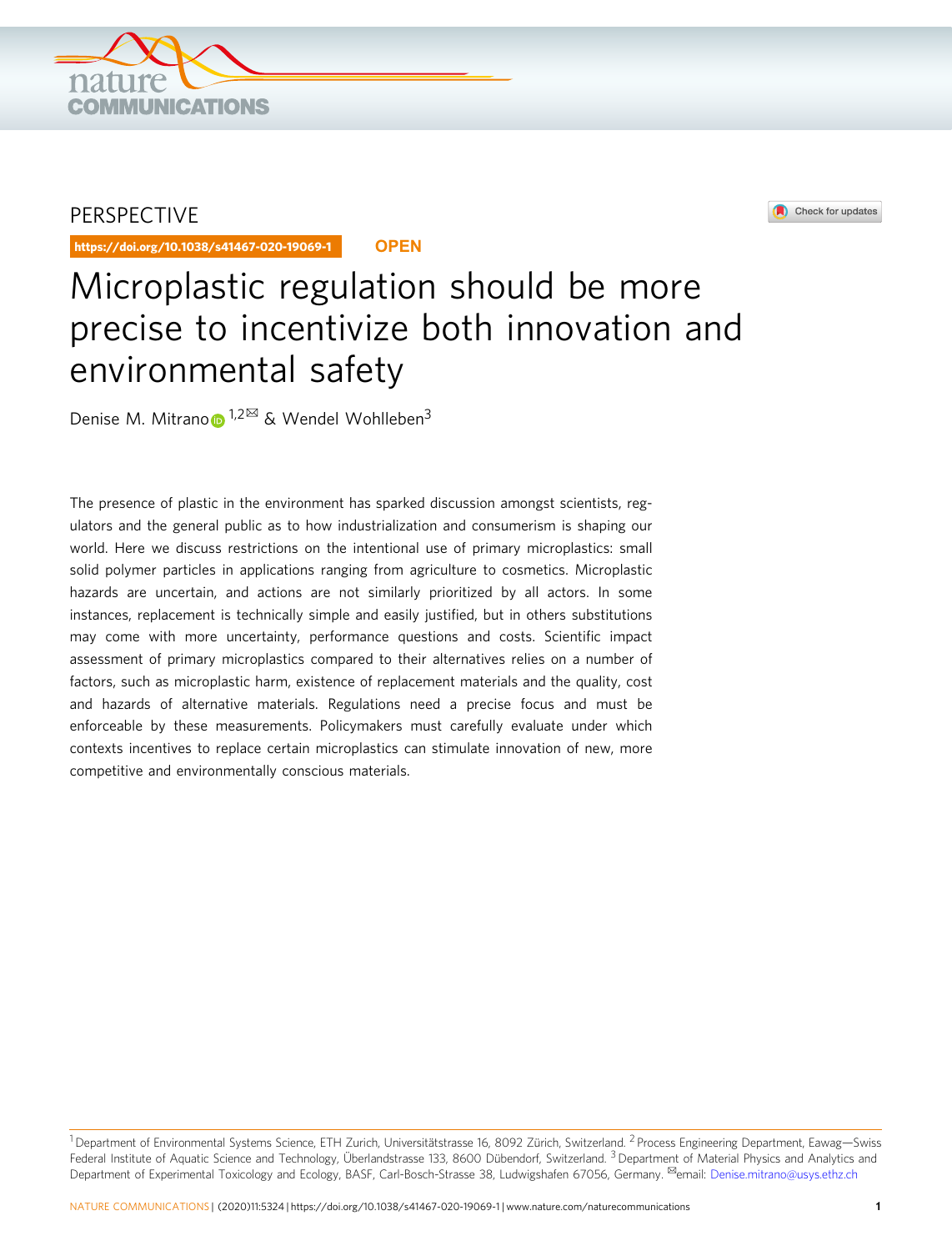

# **PERSPECTIVE**

https://doi.org/10.1038/s41467-020-19069-1 **OPEN**

# Microplastic regulation should be more precise to incentivize both innovation and environmental safety

Denise M. Mitran[o](http://orcid.org/0000-0001-8030-6066) $\bullet$ <sup>1,2 $\text{M}$ </sup> & Wendel Wohlleben<sup>3</sup>

The presence of plastic in the environment has sparked discussion amongst scientists, regulators and the general public as to how industrialization and consumerism is shaping our world. Here we discuss restrictions on the intentional use of primary microplastics: small solid polymer particles in applications ranging from agriculture to cosmetics. Microplastic hazards are uncertain, and actions are not similarly prioritized by all actors. In some instances, replacement is technically simple and easily justified, but in others substitutions may come with more uncertainty, performance questions and costs. Scientific impact assessment of primary microplastics compared to their alternatives relies on a number of factors, such as microplastic harm, existence of replacement materials and the quality, cost and hazards of alternative materials. Regulations need a precise focus and must be enforceable by these measurements. Policymakers must carefully evaluate under which contexts incentives to replace certain microplastics can stimulate innovation of new, more competitive and environmentally conscious materials.



<sup>&</sup>lt;sup>1</sup> Department of Environmental Systems Science, ETH Zurich, Universitätstrasse 16, 8092 Zürich, Switzerland. <sup>2</sup> Process Engineering Department, Eawag—Swiss Federal Institute of Aquatic Science and Technology, Überlandstrasse 133, 8600 Dübendorf, Switzerland. <sup>3</sup> Department of Material Physics and Analytics and Department of Experimental Toxicology and Ecology, BASF, Carl-Bosch-Strasse 38, Ludwigshafen 67056, Germany. <sup>⊠</sup>email: [Denise.mitrano@usys.ethz.ch](mailto:Denise.mitrano@usys.ethz.ch)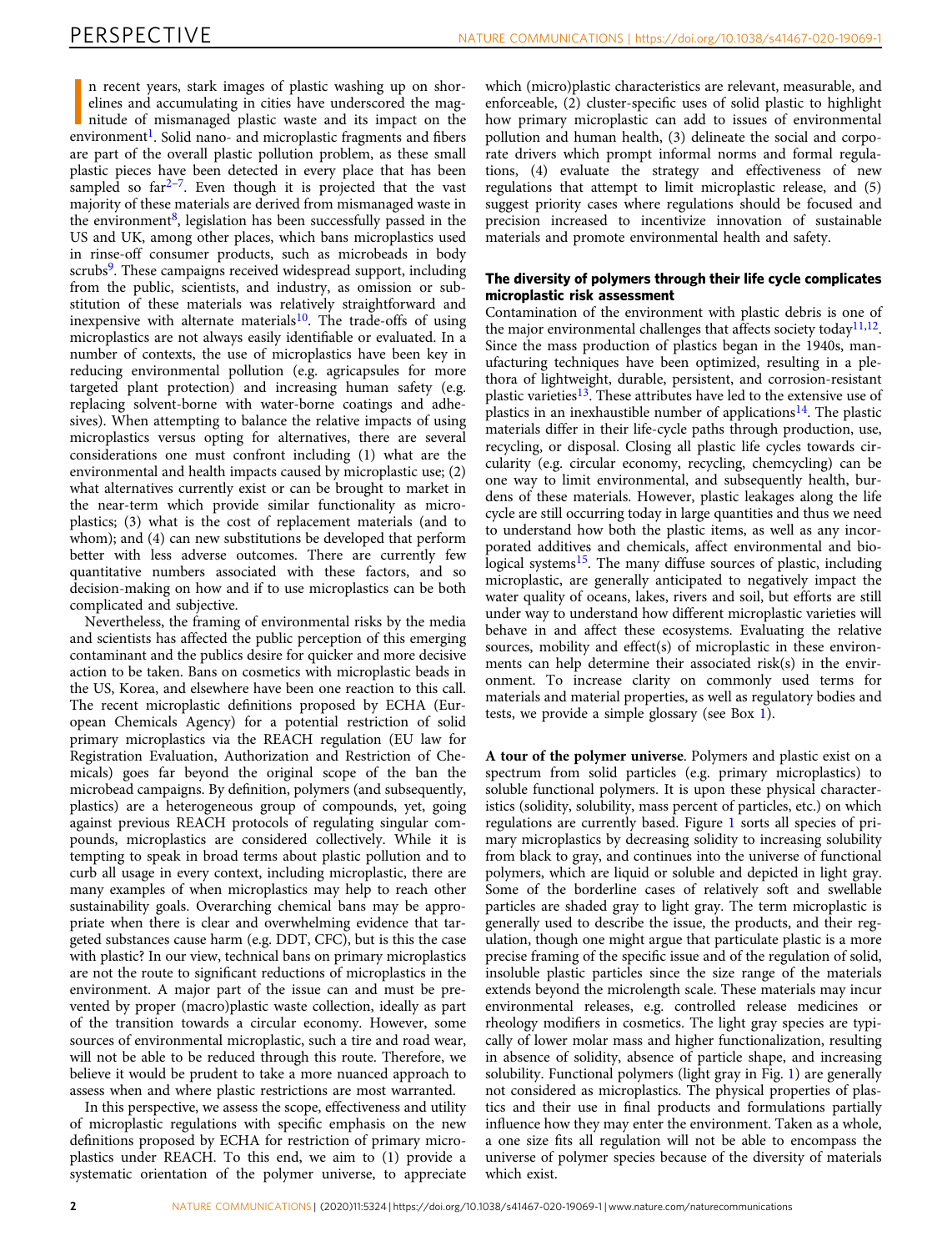n recent years, stark images of plastic washing up on shor-<br>elines and accumulating in cities have underscored the mag-<br>nitude of mismanaged plastic waste and its impact on the<br>environment<sup>1</sup>. Solid nano- and microplastic n recent years, stark images of plastic washing up on shorelines and accumulating in cities have underscored the magnitude of mismanaged plastic waste and its impact on the are part of the overall plastic pollution problem, as these small plastic pieces have been detected in every place that has been sampled so  $far^{2-7}$  $far^{2-7}$  $far^{2-7}$ . Even though it is projected that the vast majority of these materials are derived from mismanaged waste in the environment<sup>8</sup>, legislation has been successfully passed in the US and UK, among other places, which bans microplastics used in rinse-off consumer products, such as microbeads in body scrubs<sup>[9](#page-9-0)</sup>. These campaigns received widespread support, including from the public, scientists, and industry, as omission or substitution of these materials was relatively straightforward and inexpensive with alternate materials $10$ . The trade-offs of using microplastics are not always easily identifiable or evaluated. In a number of contexts, the use of microplastics have been key in reducing environmental pollution (e.g. agricapsules for more targeted plant protection) and increasing human safety (e.g. replacing solvent-borne with water-borne coatings and adhesives). When attempting to balance the relative impacts of using microplastics versus opting for alternatives, there are several considerations one must confront including (1) what are the environmental and health impacts caused by microplastic use; (2) what alternatives currently exist or can be brought to market in the near-term which provide similar functionality as microplastics; (3) what is the cost of replacement materials (and to whom); and (4) can new substitutions be developed that perform better with less adverse outcomes. There are currently few quantitative numbers associated with these factors, and so decision-making on how and if to use microplastics can be both complicated and subjective.

Nevertheless, the framing of environmental risks by the media and scientists has affected the public perception of this emerging contaminant and the publics desire for quicker and more decisive action to be taken. Bans on cosmetics with microplastic beads in the US, Korea, and elsewhere have been one reaction to this call. The recent microplastic definitions proposed by ECHA (European Chemicals Agency) for a potential restriction of solid primary microplastics via the REACH regulation (EU law for Registration Evaluation, Authorization and Restriction of Chemicals) goes far beyond the original scope of the ban the microbead campaigns. By definition, polymers (and subsequently, plastics) are a heterogeneous group of compounds, yet, going against previous REACH protocols of regulating singular compounds, microplastics are considered collectively. While it is tempting to speak in broad terms about plastic pollution and to curb all usage in every context, including microplastic, there are many examples of when microplastics may help to reach other sustainability goals. Overarching chemical bans may be appropriate when there is clear and overwhelming evidence that targeted substances cause harm (e.g. DDT, CFC), but is this the case with plastic? In our view, technical bans on primary microplastics are not the route to significant reductions of microplastics in the environment. A major part of the issue can and must be prevented by proper (macro)plastic waste collection, ideally as part of the transition towards a circular economy. However, some sources of environmental microplastic, such a tire and road wear, will not be able to be reduced through this route. Therefore, we believe it would be prudent to take a more nuanced approach to assess when and where plastic restrictions are most warranted.

In this perspective, we assess the scope, effectiveness and utility of microplastic regulations with specific emphasis on the new definitions proposed by ECHA for restriction of primary microplastics under REACH. To this end, we aim to (1) provide a systematic orientation of the polymer universe, to appreciate

which (micro)plastic characteristics are relevant, measurable, and enforceable, (2) cluster-specific uses of solid plastic to highlight how primary microplastic can add to issues of environmental pollution and human health, (3) delineate the social and corporate drivers which prompt informal norms and formal regulations, (4) evaluate the strategy and effectiveness of new regulations that attempt to limit microplastic release, and (5) suggest priority cases where regulations should be focused and precision increased to incentivize innovation of sustainable materials and promote environmental health and safety.

# The diversity of polymers through their life cycle complicates microplastic risk assessment

Contamination of the environment with plastic debris is one of the major environmental challenges that affects society today<sup>11,12</sup>. Since the mass production of plastics began in the 1940s, manufacturing techniques have been optimized, resulting in a plethora of lightweight, durable, persistent, and corrosion-resistant plastic varieties<sup>[13](#page-9-0)</sup>. These attributes have led to the extensive use of plastics in an inexhaustible number of applications<sup>[14](#page-10-0)</sup>. The plastic materials differ in their life-cycle paths through production, use, recycling, or disposal. Closing all plastic life cycles towards circularity (e.g. circular economy, recycling, chemcycling) can be one way to limit environmental, and subsequently health, burdens of these materials. However, plastic leakages along the life cycle are still occurring today in large quantities and thus we need to understand how both the plastic items, as well as any incorporated additives and chemicals, affect environmental and biological systems $^{15}$ . The many diffuse sources of plastic, including microplastic, are generally anticipated to negatively impact the water quality of oceans, lakes, rivers and soil, but efforts are still under way to understand how different microplastic varieties will behave in and affect these ecosystems. Evaluating the relative sources, mobility and effect(s) of microplastic in these environments can help determine their associated risk(s) in the environment. To increase clarity on commonly used terms for materials and material properties, as well as regulatory bodies and tests, we provide a simple glossary (see Box [1\)](#page-2-0).

A tour of the polymer universe. Polymers and plastic exist on a spectrum from solid particles (e.g. primary microplastics) to soluble functional polymers. It is upon these physical characteristics (solidity, solubility, mass percent of particles, etc.) on which regulations are currently based. Figure [1](#page-3-0) sorts all species of primary microplastics by decreasing solidity to increasing solubility from black to gray, and continues into the universe of functional polymers, which are liquid or soluble and depicted in light gray. Some of the borderline cases of relatively soft and swellable particles are shaded gray to light gray. The term microplastic is generally used to describe the issue, the products, and their regulation, though one might argue that particulate plastic is a more precise framing of the specific issue and of the regulation of solid, insoluble plastic particles since the size range of the materials extends beyond the microlength scale. These materials may incur environmental releases, e.g. controlled release medicines or rheology modifiers in cosmetics. The light gray species are typically of lower molar mass and higher functionalization, resulting in absence of solidity, absence of particle shape, and increasing solubility. Functional polymers (light gray in Fig. [1](#page-3-0)) are generally not considered as microplastics. The physical properties of plastics and their use in final products and formulations partially influence how they may enter the environment. Taken as a whole, a one size fits all regulation will not be able to encompass the universe of polymer species because of the diversity of materials which exist.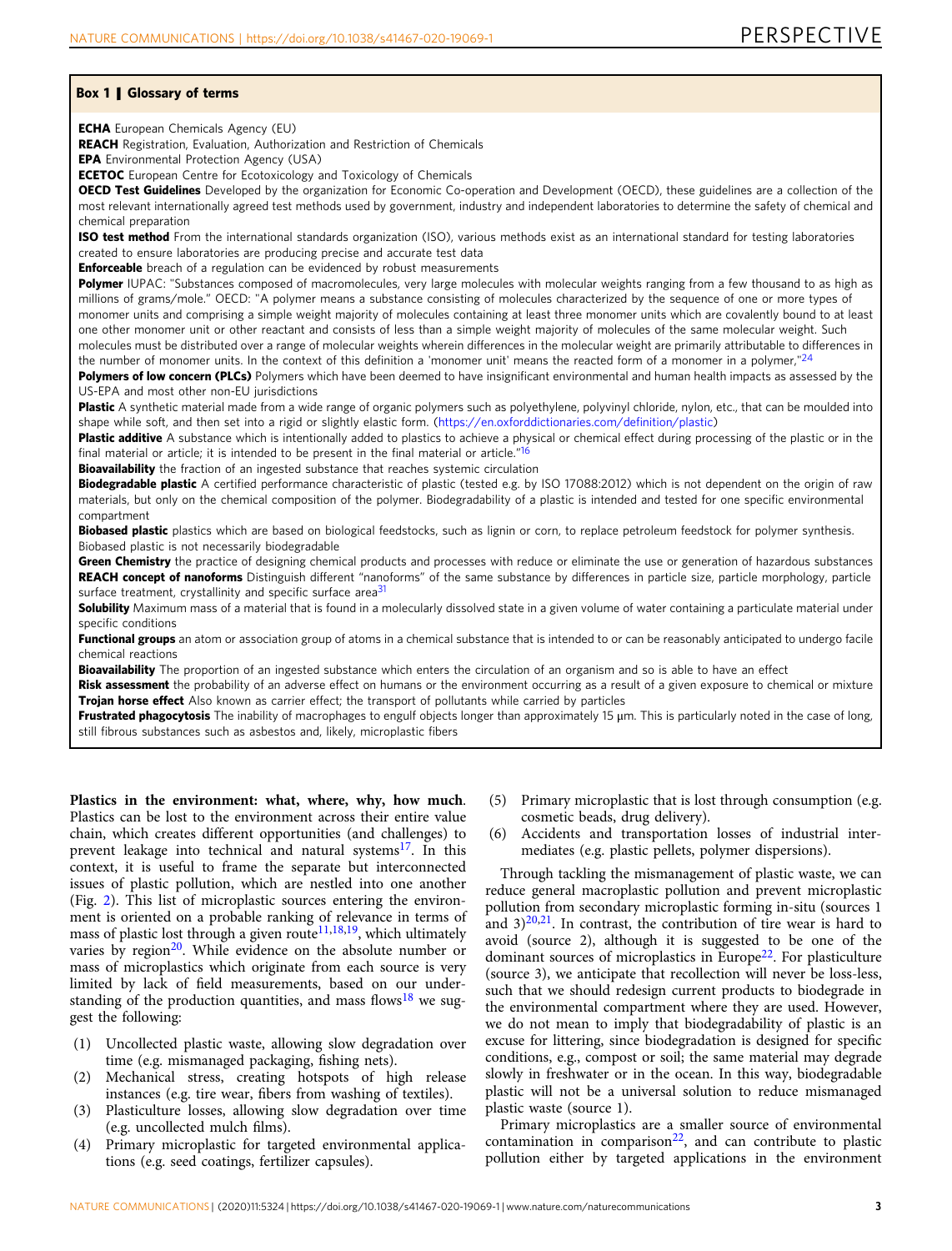#### <span id="page-2-0"></span>Box 1 | Glossary of terms

ECHA European Chemicals Agency (EU)

REACH Registration, Evaluation, Authorization and Restriction of Chemicals

EPA Environmental Protection Agency (USA)

**ECETOC** European Centre for Ecotoxicology and Toxicology of Chemicals

OECD Test Guidelines Developed by the organization for Economic Co-operation and Development (OECD), these guidelines are a collection of the most relevant internationally agreed test methods used by government, industry and independent laboratories to determine the safety of chemical and chemical preparation

**ISO test method** From the international standards organization (ISO), various methods exist as an international standard for testing laboratories created to ensure laboratories are producing precise and accurate test data

**Enforceable** breach of a regulation can be evidenced by robust measurements

Polymer IUPAC: "Substances composed of macromolecules, very large molecules with molecular weights ranging from a few thousand to as high as millions of grams/mole." OECD: "A polymer means a substance consisting of molecules characterized by the sequence of one or more types of monomer units and comprising a simple weight majority of molecules containing at least three monomer units which are covalently bound to at least one other monomer unit or other reactant and consists of less than a simple weight majority of molecules of the same molecular weight. Such molecules must be distributed over a range of molecular weights wherein differences in the molecular weight are primarily attributable to differences in the number of monomer units. In the context of this definition a 'monomer unit' means the reacted form of a monomer in a polymer," $24$ 

Polymers of low concern (PLCs) Polymers which have been deemed to have insignificant environmental and human health impacts as assessed by the US-EPA and most other non-EU jurisdictions

Plastic A synthetic material made from a wide range of organic polymers such as polyethylene, polyvinyl chloride, nylon, etc., that can be moulded into shape while soft, and then set into a rigid or slightly elastic form. [\(https://en.oxforddictionaries.com/de](https://en.oxforddictionaries.com/definition/plastic)finition/plastic)

Plastic additive A substance which is intentionally added to plastics to achieve a physical or chemical effect during processing of the plastic or in the final material or article; it is intended to be present in the final material or article."<sup>[16](#page-10-0)</sup>

**Bioavailability** the fraction of an ingested substance that reaches systemic circulation

Biodegradable plastic A certified performance characteristic of plastic (tested e.g. by ISO 17088:2012) which is not dependent on the origin of raw materials, but only on the chemical composition of the polymer. Biodegradability of a plastic is intended and tested for one specific environmental compartment

Biobased plastic plastics which are based on biological feedstocks, such as lignin or corn, to replace petroleum feedstock for polymer synthesis. Biobased plastic is not necessarily biodegradable

Green Chemistry the practice of designing chemical products and processes with reduce or eliminate the use or generation of hazardous substances REACH concept of nanoforms Distinguish different "nanoforms" of the same substance by differences in particle size, particle morphology, particle surface treatment, crystallinity and specific surface area<sup>31</sup>

Solubility Maximum mass of a material that is found in a molecularly dissolved state in a given volume of water containing a particulate material under specific conditions

Functional groups an atom or association group of atoms in a chemical substance that is intended to or can be reasonably anticipated to undergo facile chemical reactions

**Bioavailability** The proportion of an ingested substance which enters the circulation of an organism and so is able to have an effect

Risk assessment the probability of an adverse effect on humans or the environment occurring as a result of a given exposure to chemical or mixture Trojan horse effect Also known as carrier effect; the transport of pollutants while carried by particles

Frustrated phagocytosis The inability of macrophages to engulf objects longer than approximately 15  $\mu$ m. This is particularly noted in the case of long, still fibrous substances such as asbestos and, likely, microplastic fibers

Plastics in the environment: what, where, why, how much. Plastics can be lost to the environment across their entire value chain, which creates different opportunities (and challenges) to prevent leakage into technical and natural systems<sup>[17](#page-10-0)</sup>. In this context, it is useful to frame the separate but interconnected issues of plastic pollution, which are nestled into one another (Fig. [2](#page-3-0)). This list of microplastic sources entering the environment is oriented on a probable ranking of relevance in terms of mass of plastic lost through a given route<sup>[11](#page-9-0),[18](#page-10-0),19</sup>, which ultimately varies by region<sup>[20](#page-10-0)</sup>. While evidence on the absolute number or mass of microplastics which originate from each source is very limited by lack of field measurements, based on our under-standing of the production quantities, and mass flows<sup>[18](#page-10-0)</sup> we suggest the following:

- (1) Uncollected plastic waste, allowing slow degradation over time (e.g. mismanaged packaging, fishing nets).
- (2) Mechanical stress, creating hotspots of high release instances (e.g. tire wear, fibers from washing of textiles).
- (3) Plasticulture losses, allowing slow degradation over time (e.g. uncollected mulch films).
- (4) Primary microplastic for targeted environmental applications (e.g. seed coatings, fertilizer capsules).
- Primary microplastic that is lost through consumption (e.g. cosmetic beads, drug delivery).
- (6) Accidents and transportation losses of industrial intermediates (e.g. plastic pellets, polymer dispersions).

Through tackling the mismanagement of plastic waste, we can reduce general macroplastic pollution and prevent microplastic pollution from secondary microplastic forming in-situ (sources 1 and  $3)^{20,21}$  $3)^{20,21}$  $3)^{20,21}$ . In contrast, the contribution of tire wear is hard to avoid (source 2), although it is suggested to be one of the dominant sources of microplastics in Europe<sup>22</sup>. For plasticulture (source 3), we anticipate that recollection will never be loss-less, such that we should redesign current products to biodegrade in the environmental compartment where they are used. However, we do not mean to imply that biodegradability of plastic is an excuse for littering, since biodegradation is designed for specific conditions, e.g., compost or soil; the same material may degrade slowly in freshwater or in the ocean. In this way, biodegradable plastic will not be a universal solution to reduce mismanaged plastic waste (source 1).

Primary microplastics are a smaller source of environmental contamination in comparison<sup>22</sup>, and can contribute to plastic pollution either by targeted applications in the environment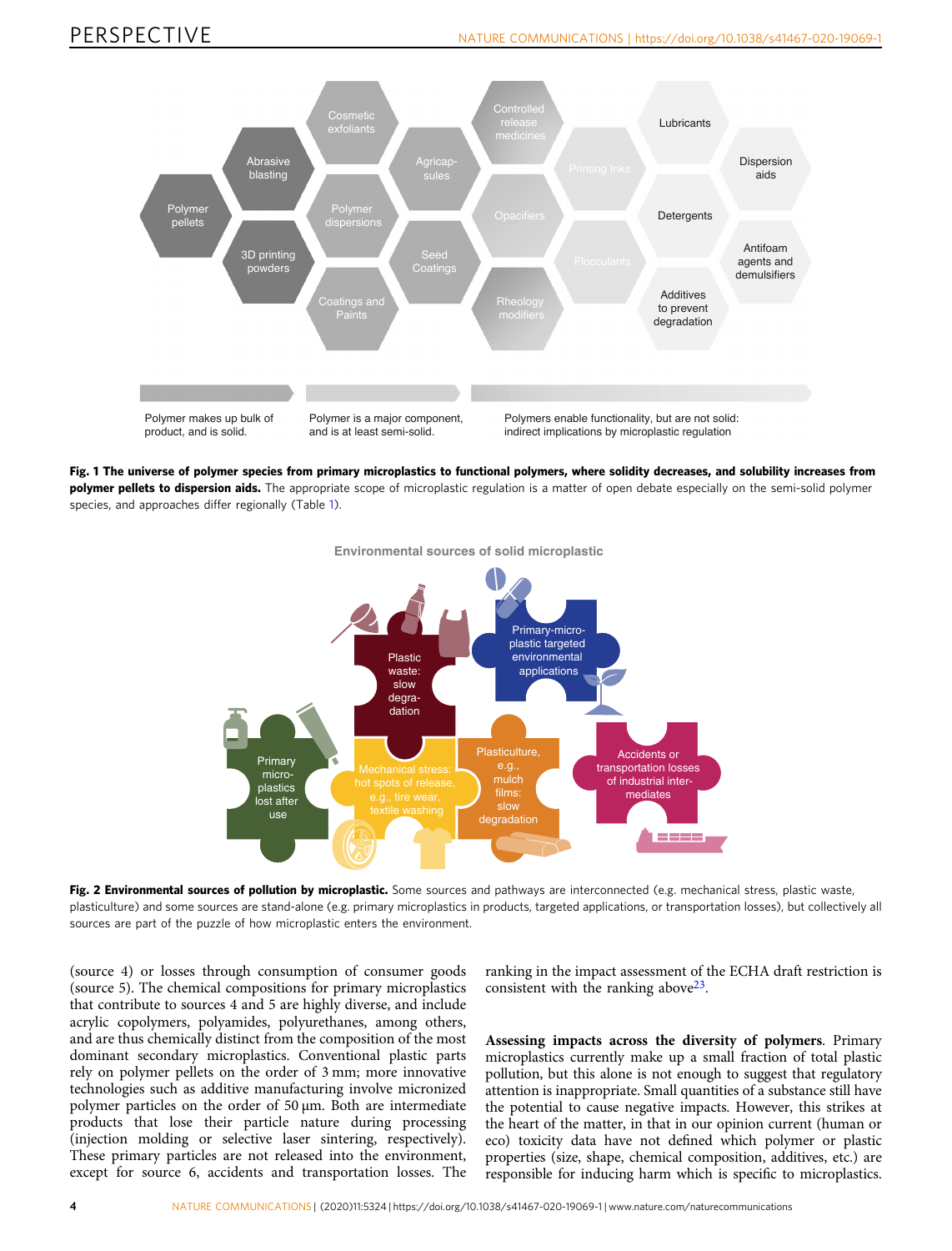<span id="page-3-0"></span>

Fig. 1 The universe of polymer species from primary microplastics to functional polymers, where solidity decreases, and solubility increases from **polymer pellets to dispersion aids.** The appropriate scope of microplastic regulation is a matter of open debate especially on the semi-solid polymer species, and approaches differ regionally (Table [1\)](#page-5-0).



**Environmental sources of solid microplastic**

Fig. 2 Environmental sources of pollution by microplastic. Some sources and pathways are interconnected (e.g. mechanical stress, plastic waste, plasticulture) and some sources are stand-alone (e.g. primary microplastics in products, targeted applications, or transportation losses), but collectively all sources are part of the puzzle of how microplastic enters the environment.

(source 4) or losses through consumption of consumer goods (source 5). The chemical compositions for primary microplastics that contribute to sources 4 and 5 are highly diverse, and include acrylic copolymers, polyamides, polyurethanes, among others, and are thus chemically distinct from the composition of the most dominant secondary microplastics. Conventional plastic parts rely on polymer pellets on the order of 3 mm; more innovative technologies such as additive manufacturing involve micronized polymer particles on the order of 50 µm. Both are intermediate products that lose their particle nature during processing (injection molding or selective laser sintering, respectively). These primary particles are not released into the environment, except for source 6, accidents and transportation losses. The

ranking in the impact assessment of the ECHA draft restriction is consistent with the ranking above $2^3$ .

Assessing impacts across the diversity of polymers. Primary microplastics currently make up a small fraction of total plastic pollution, but this alone is not enough to suggest that regulatory attention is inappropriate. Small quantities of a substance still have the potential to cause negative impacts. However, this strikes at the heart of the matter, in that in our opinion current (human or eco) toxicity data have not defined which polymer or plastic properties (size, shape, chemical composition, additives, etc.) are responsible for inducing harm which is specific to microplastics.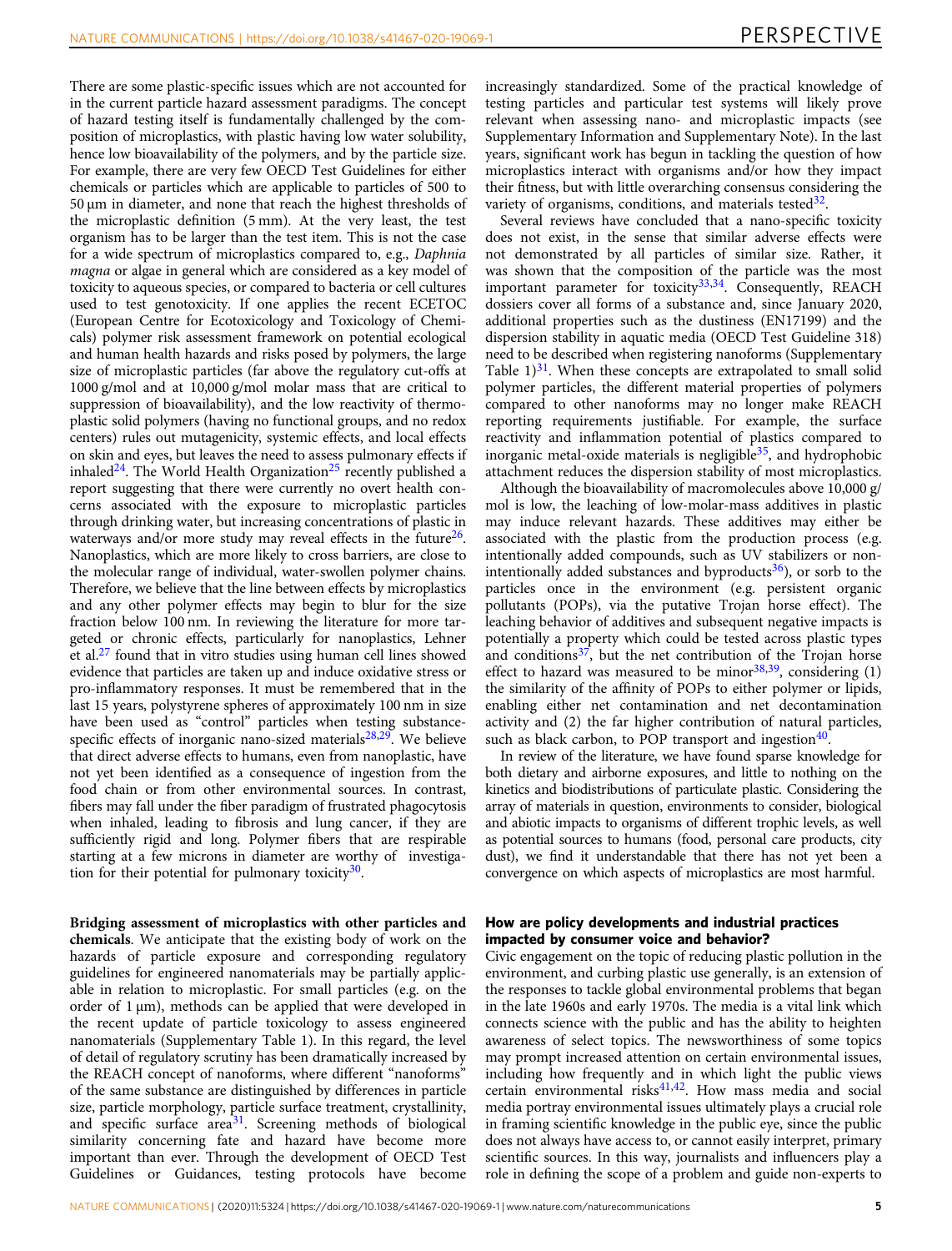There are some plastic-specific issues which are not accounted for in the current particle hazard assessment paradigms. The concept of hazard testing itself is fundamentally challenged by the composition of microplastics, with plastic having low water solubility, hence low bioavailability of the polymers, and by the particle size. For example, there are very few OECD Test Guidelines for either chemicals or particles which are applicable to particles of 500 to 50 µm in diameter, and none that reach the highest thresholds of the microplastic definition (5 mm). At the very least, the test organism has to be larger than the test item. This is not the case for a wide spectrum of microplastics compared to, e.g., Daphnia magna or algae in general which are considered as a key model of toxicity to aqueous species, or compared to bacteria or cell cultures used to test genotoxicity. If one applies the recent ECETOC (European Centre for Ecotoxicology and Toxicology of Chemicals) polymer risk assessment framework on potential ecological and human health hazards and risks posed by polymers, the large size of microplastic particles (far above the regulatory cut-offs at 1000 g/mol and at 10,000 g/mol molar mass that are critical to suppression of bioavailability), and the low reactivity of thermoplastic solid polymers (having no functional groups, and no redox centers) rules out mutagenicity, systemic effects, and local effects on skin and eyes, but leaves the need to assess pulmonary effects if inhaled<sup>24</sup>. The World Health Organization<sup>[25](#page-10-0)</sup> recently published a report suggesting that there were currently no overt health concerns associated with the exposure to microplastic particles through drinking water, but increasing concentrations of plastic in waterways and/or more study may reveal effects in the future<sup>26</sup>. Nanoplastics, which are more likely to cross barriers, are close to the molecular range of individual, water-swollen polymer chains. Therefore, we believe that the line between effects by microplastics and any other polymer effects may begin to blur for the size fraction below 100 nm. In reviewing the literature for more targeted or chronic effects, particularly for nanoplastics, Lehner et al.[27](#page-10-0) found that in vitro studies using human cell lines showed evidence that particles are taken up and induce oxidative stress or pro-inflammatory responses. It must be remembered that in the last 15 years, polystyrene spheres of approximately 100 nm in size have been used as "control" particles when testing substancespecific effects of inorganic nano-sized materials<sup>28,29</sup>. We believe that direct adverse effects to humans, even from nanoplastic, have not yet been identified as a consequence of ingestion from the food chain or from other environmental sources. In contrast, fibers may fall under the fiber paradigm of frustrated phagocytosis when inhaled, leading to fibrosis and lung cancer, if they are sufficiently rigid and long. Polymer fibers that are respirable starting at a few microns in diameter are worthy of investigation for their potential for pulmonary toxicity<sup>30</sup>.

Bridging assessment of microplastics with other particles and chemicals. We anticipate that the existing body of work on the hazards of particle exposure and corresponding regulatory guidelines for engineered nanomaterials may be partially applicable in relation to microplastic. For small particles (e.g. on the order of  $1 \mu m$ ), methods can be applied that were developed in the recent update of particle toxicology to assess engineered nanomaterials (Supplementary Table 1). In this regard, the level of detail of regulatory scrutiny has been dramatically increased by the REACH concept of nanoforms, where different "nanoforms" of the same substance are distinguished by differences in particle size, particle morphology, particle surface treatment, crystallinity, and specific surface area<sup>31</sup>. Screening methods of biological similarity concerning fate and hazard have become more important than ever. Through the development of OECD Test Guidelines or Guidances, testing protocols have become

increasingly standardized. Some of the practical knowledge of testing particles and particular test systems will likely prove relevant when assessing nano- and microplastic impacts (see Supplementary Information and Supplementary Note). In the last years, significant work has begun in tackling the question of how microplastics interact with organisms and/or how they impact their fitness, but with little overarching consensus considering the variety of organisms, conditions, and materials tested $32$ .

Several reviews have concluded that a nano-specific toxicity does not exist, in the sense that similar adverse effects were not demonstrated by all particles of similar size. Rather, it was shown that the composition of the particle was the most important parameter for toxicity<sup>[33](#page-10-0),[34](#page-10-0)</sup>. Consequently, REACH dossiers cover all forms of a substance and, since January 2020, additional properties such as the dustiness (EN17199) and the dispersion stability in aquatic media (OECD Test Guideline 318) need to be described when registering nanoforms (Supplementary Table  $1$ <sup>[31](#page-10-0)</sup>. When these concepts are extrapolated to small solid polymer particles, the different material properties of polymers compared to other nanoforms may no longer make REACH reporting requirements justifiable. For example, the surface reactivity and inflammation potential of plastics compared to inorganic metal-oxide materials is negligible $35$ , and hydrophobic attachment reduces the dispersion stability of most microplastics.

Although the bioavailability of macromolecules above 10,000 g/ mol is low, the leaching of low-molar-mass additives in plastic may induce relevant hazards. These additives may either be associated with the plastic from the production process (e.g. intentionally added compounds, such as UV stabilizers or nonintentionally added substances and byproducts $36$ , or sorb to the particles once in the environment (e.g. persistent organic pollutants (POPs), via the putative Trojan horse effect). The leaching behavior of additives and subsequent negative impacts is potentially a property which could be tested across plastic types and conditions $37$ , but the net contribution of the Trojan horse effect to hazard was measured to be minor  $38,39$ , considering (1) the similarity of the affinity of POPs to either polymer or lipids, enabling either net contamination and net decontamination activity and (2) the far higher contribution of natural particles, such as black carbon, to POP transport and ingestion $40$ .

In review of the literature, we have found sparse knowledge for both dietary and airborne exposures, and little to nothing on the kinetics and biodistributions of particulate plastic. Considering the array of materials in question, environments to consider, biological and abiotic impacts to organisms of different trophic levels, as well as potential sources to humans (food, personal care products, city dust), we find it understandable that there has not yet been a convergence on which aspects of microplastics are most harmful.

# How are policy developments and industrial practices impacted by consumer voice and behavior?

Civic engagement on the topic of reducing plastic pollution in the environment, and curbing plastic use generally, is an extension of the responses to tackle global environmental problems that began in the late 1960s and early 1970s. The media is a vital link which connects science with the public and has the ability to heighten awareness of select topics. The newsworthiness of some topics may prompt increased attention on certain environmental issues, including how frequently and in which light the public views certain environmental risks<sup>41,42</sup>. How mass media and social media portray environmental issues ultimately plays a crucial role in framing scientific knowledge in the public eye, since the public does not always have access to, or cannot easily interpret, primary scientific sources. In this way, journalists and influencers play a role in defining the scope of a problem and guide non-experts to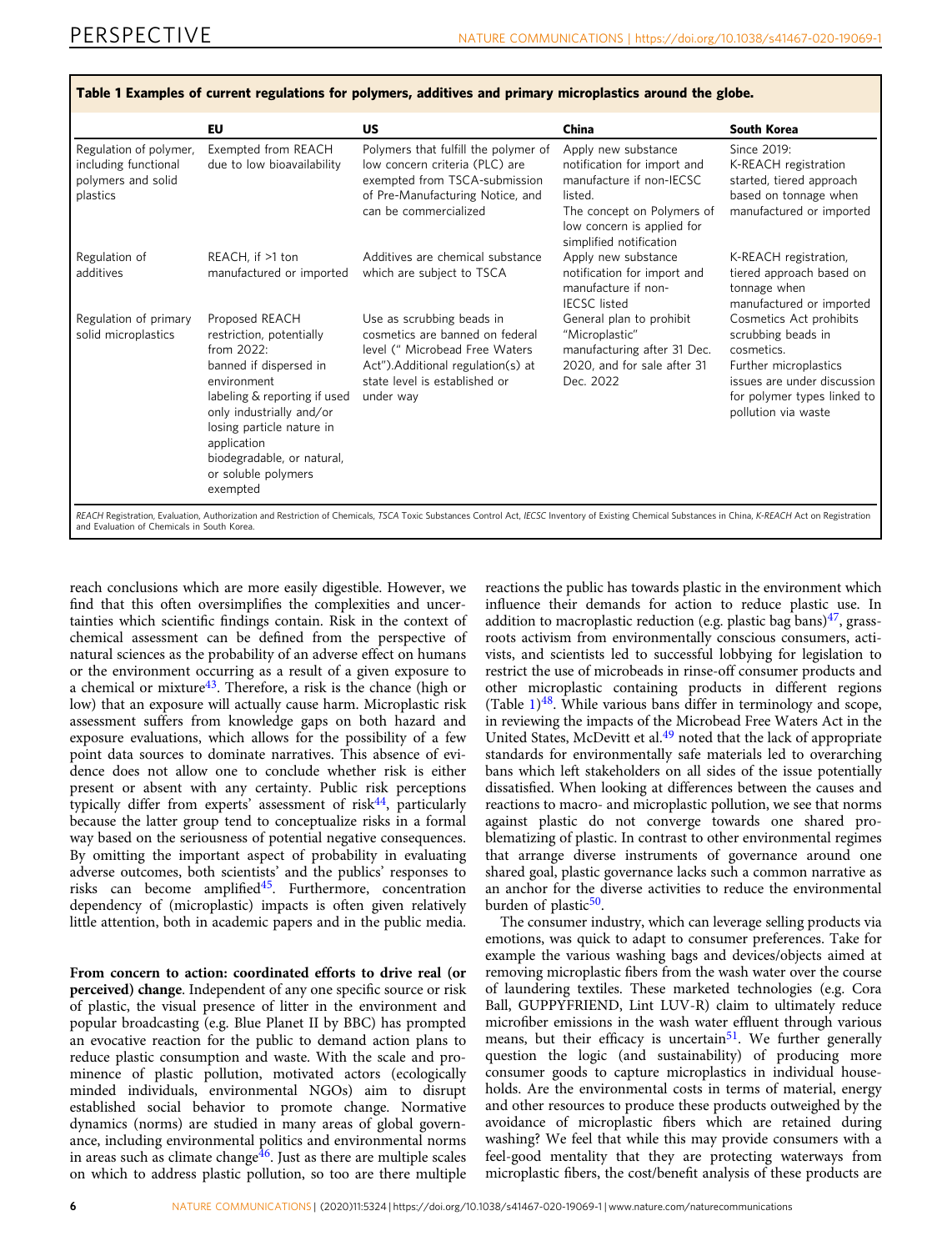|                                                                                  | EU                                                                                                                                                                                                                                                                         | US                                                                                                                                                                                 | China                                                                                                                                                                            | South Korea                                                                                                                                                               |
|----------------------------------------------------------------------------------|----------------------------------------------------------------------------------------------------------------------------------------------------------------------------------------------------------------------------------------------------------------------------|------------------------------------------------------------------------------------------------------------------------------------------------------------------------------------|----------------------------------------------------------------------------------------------------------------------------------------------------------------------------------|---------------------------------------------------------------------------------------------------------------------------------------------------------------------------|
| Regulation of polymer,<br>including functional<br>polymers and solid<br>plastics | Exempted from REACH<br>due to low bioavailability                                                                                                                                                                                                                          | Polymers that fulfill the polymer of<br>low concern criteria (PLC) are<br>exempted from TSCA-submission<br>of Pre-Manufacturing Notice, and<br>can be commercialized               | Apply new substance<br>notification for import and<br>manufacture if non-IECSC<br>listed.<br>The concept on Polymers of<br>low concern is applied for<br>simplified notification | Since 2019:<br>K-REACH registration<br>started, tiered approach<br>based on tonnage when<br>manufactured or imported                                                      |
| Regulation of<br>additives                                                       | REACH, if >1 ton<br>manufactured or imported                                                                                                                                                                                                                               | Additives are chemical substance<br>which are subject to TSCA                                                                                                                      | Apply new substance<br>notification for import and<br>manufacture if non-<br><b>IECSC</b> listed                                                                                 | K-REACH registration,<br>tiered approach based on<br>tonnage when<br>manufactured or imported                                                                             |
| Regulation of primary<br>solid microplastics                                     | Proposed REACH<br>restriction, potentially<br>from 2022:<br>banned if dispersed in<br>environment<br>labeling & reporting if used<br>only industrially and/or<br>losing particle nature in<br>application<br>biodegradable, or natural,<br>or soluble polymers<br>exempted | Use as scrubbing beads in<br>cosmetics are banned on federal<br>level (" Microbead Free Waters<br>Act"). Additional regulation(s) at<br>state level is established or<br>under way | General plan to prohibit<br>"Microplastic"<br>manufacturing after 31 Dec.<br>2020, and for sale after 31<br>Dec. 2022                                                            | Cosmetics Act prohibits<br>scrubbing beads in<br>cosmetics.<br>Further microplastics<br>issues are under discussion<br>for polymer types linked to<br>pollution via waste |

<span id="page-5-0"></span>

| Table 1 Examples of current regulations for polymers, additives and primary microplastics around the globe. |  |  |  |
|-------------------------------------------------------------------------------------------------------------|--|--|--|
|-------------------------------------------------------------------------------------------------------------|--|--|--|

and Evaluation of Chemicals in South Korea.

reach conclusions which are more easily digestible. However, we find that this often oversimplifies the complexities and uncertainties which scientific findings contain. Risk in the context of chemical assessment can be defined from the perspective of natural sciences as the probability of an adverse effect on humans or the environment occurring as a result of a given exposure to a chemical or mixtur[e43.](#page-10-0) Therefore, a risk is the chance (high or low) that an exposure will actually cause harm. Microplastic risk assessment suffers from knowledge gaps on both hazard and exposure evaluations, which allows for the possibility of a few point data sources to dominate narratives. This absence of evidence does not allow one to conclude whether risk is either present or absent with any certainty. Public risk perceptions typically differ from experts' assessment of risk $44$ , particularly because the latter group tend to conceptualize risks in a formal way based on the seriousness of potential negative consequences. By omitting the important aspect of probability in evaluating adverse outcomes, both scientists' and the publics' responses to risks can become amplified<sup>[45](#page-10-0)</sup>. Furthermore, concentration dependency of (microplastic) impacts is often given relatively little attention, both in academic papers and in the public media.

From concern to action: coordinated efforts to drive real (or perceived) change. Independent of any one specific source or risk of plastic, the visual presence of litter in the environment and popular broadcasting (e.g. Blue Planet II by BBC) has prompted an evocative reaction for the public to demand action plans to reduce plastic consumption and waste. With the scale and prominence of plastic pollution, motivated actors (ecologically minded individuals, environmental NGOs) aim to disrupt established social behavior to promote change. Normative dynamics (norms) are studied in many areas of global governance, including environmental politics and environmental norms in areas such as climate change $46$ . Just as there are multiple scales on which to address plastic pollution, so too are there multiple reactions the public has towards plastic in the environment which influence their demands for action to reduce plastic use. In addition to macroplastic reduction (e.g. plastic bag bans) $47$ , grassroots activism from environmentally conscious consumers, activists, and scientists led to successful lobbying for legislation to restrict the use of microbeads in rinse-off consumer products and other microplastic containing products in different regions (Table  $1)$ <sup>48</sup>. While various bans differ in terminology and scope, in reviewing the impacts of the Microbead Free Waters Act in the United States, McDevitt et al.<sup>[49](#page-10-0)</sup> noted that the lack of appropriate standards for environmentally safe materials led to overarching bans which left stakeholders on all sides of the issue potentially dissatisfied. When looking at differences between the causes and reactions to macro- and microplastic pollution, we see that norms against plastic do not converge towards one shared problematizing of plastic. In contrast to other environmental regimes that arrange diverse instruments of governance around one shared goal, plastic governance lacks such a common narrative as an anchor for the diverse activities to reduce the environmental burden of plastic<sup>50</sup>.

The consumer industry, which can leverage selling products via emotions, was quick to adapt to consumer preferences. Take for example the various washing bags and devices/objects aimed at removing microplastic fibers from the wash water over the course of laundering textiles. These marketed technologies (e.g. Cora Ball, GUPPYFRIEND, Lint LUV-R) claim to ultimately reduce microfiber emissions in the wash water effluent through various means, but their efficacy is uncertain<sup>51</sup>. We further generally question the logic (and sustainability) of producing more consumer goods to capture microplastics in individual households. Are the environmental costs in terms of material, energy and other resources to produce these products outweighed by the avoidance of microplastic fibers which are retained during washing? We feel that while this may provide consumers with a feel-good mentality that they are protecting waterways from microplastic fibers, the cost/benefit analysis of these products are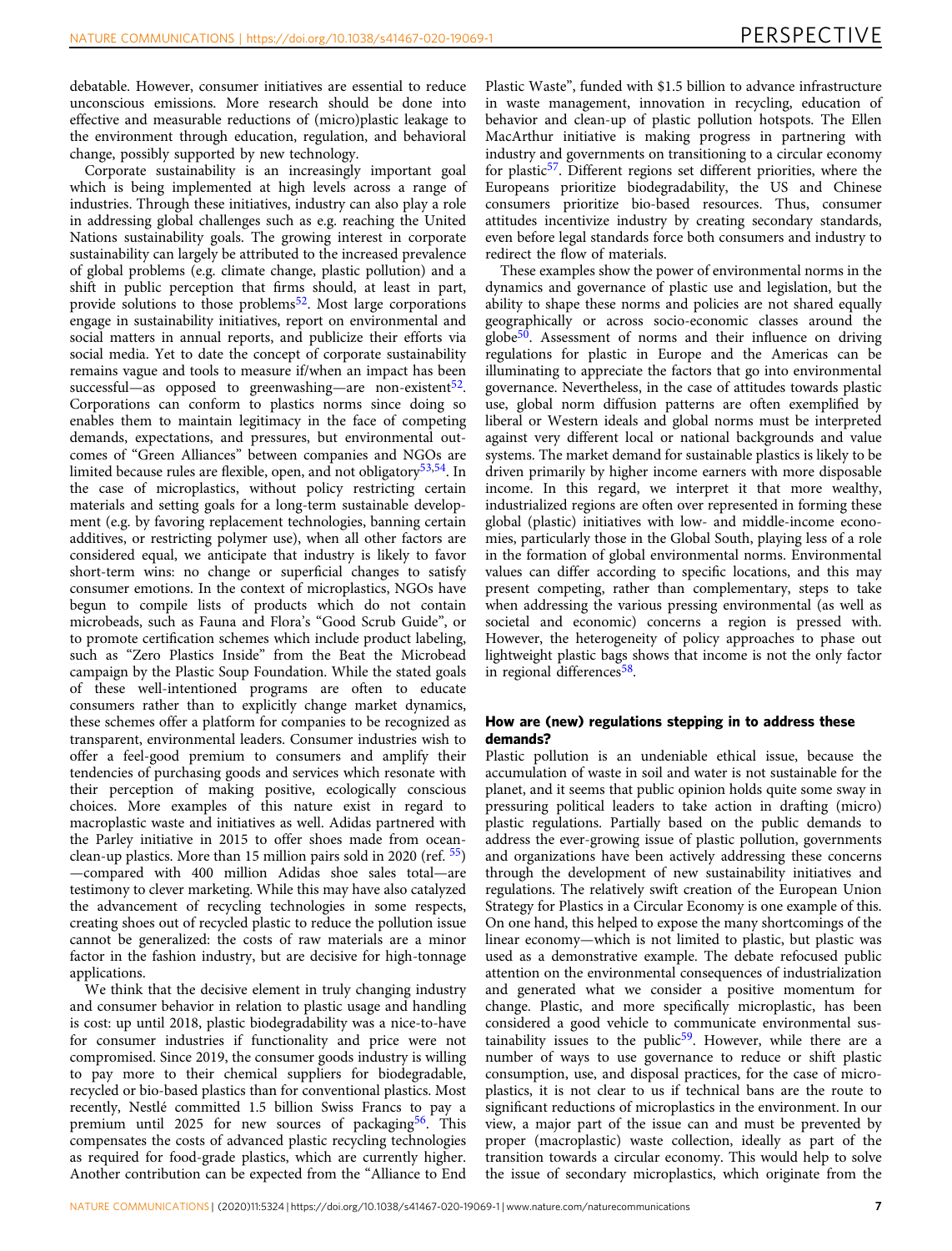debatable. However, consumer initiatives are essential to reduce unconscious emissions. More research should be done into effective and measurable reductions of (micro)plastic leakage to the environment through education, regulation, and behavioral change, possibly supported by new technology.

Corporate sustainability is an increasingly important goal which is being implemented at high levels across a range of industries. Through these initiatives, industry can also play a role in addressing global challenges such as e.g. reaching the United Nations sustainability goals. The growing interest in corporate sustainability can largely be attributed to the increased prevalence of global problems (e.g. climate change, plastic pollution) and a shift in public perception that firms should, at least in part, provide solutions to those problems<sup>[52](#page-10-0)</sup>. Most large corporations engage in sustainability initiatives, report on environmental and social matters in annual reports, and publicize their efforts via social media. Yet to date the concept of corporate sustainability remains vague and tools to measure if/when an impact has been successful—as opposed to greenwashing—are non-existent $52$ . Corporations can conform to plastics norms since doing so enables them to maintain legitimacy in the face of competing demands, expectations, and pressures, but environmental outcomes of "Green Alliances" between companies and NGOs are limited because rules are flexible, open, and not obligatory $53,54$  $53,54$ . In the case of microplastics, without policy restricting certain materials and setting goals for a long-term sustainable development (e.g. by favoring replacement technologies, banning certain additives, or restricting polymer use), when all other factors are considered equal, we anticipate that industry is likely to favor short-term wins: no change or superficial changes to satisfy consumer emotions. In the context of microplastics, NGOs have begun to compile lists of products which do not contain microbeads, such as Fauna and Flora's "Good Scrub Guide", or to promote certification schemes which include product labeling, such as "Zero Plastics Inside" from the Beat the Microbead campaign by the Plastic Soup Foundation. While the stated goals of these well-intentioned programs are often to educate consumers rather than to explicitly change market dynamics, these schemes offer a platform for companies to be recognized as transparent, environmental leaders. Consumer industries wish to offer a feel-good premium to consumers and amplify their tendencies of purchasing goods and services which resonate with their perception of making positive, ecologically conscious choices. More examples of this nature exist in regard to macroplastic waste and initiatives as well. Adidas partnered with the Parley initiative in 2015 to offer shoes made from oceanclean-up plastics. More than 15 million pairs sold in 2020 (ref. [55](#page-10-0)) —compared with 400 million Adidas shoe sales total—are testimony to clever marketing. While this may have also catalyzed the advancement of recycling technologies in some respects, creating shoes out of recycled plastic to reduce the pollution issue cannot be generalized: the costs of raw materials are a minor factor in the fashion industry, but are decisive for high-tonnage applications.

We think that the decisive element in truly changing industry and consumer behavior in relation to plastic usage and handling is cost: up until 2018, plastic biodegradability was a nice-to-have for consumer industries if functionality and price were not compromised. Since 2019, the consumer goods industry is willing to pay more to their chemical suppliers for biodegradable, recycled or bio-based plastics than for conventional plastics. Most recently, Nestlé committed 1.5 billion Swiss Francs to pay a premium until 2025 for new sources of packaging<sup>[56](#page-10-0)</sup>. This compensates the costs of advanced plastic recycling technologies as required for food-grade plastics, which are currently higher. Another contribution can be expected from the "Alliance to End

Plastic Waste", funded with \$1.5 billion to advance infrastructure in waste management, innovation in recycling, education of behavior and clean-up of plastic pollution hotspots. The Ellen MacArthur initiative is making progress in partnering with industry and governments on transitioning to a circular economy for plastic<sup>57</sup>. Different regions set different priorities, where the Europeans prioritize biodegradability, the US and Chinese consumers prioritize bio-based resources. Thus, consumer attitudes incentivize industry by creating secondary standards, even before legal standards force both consumers and industry to redirect the flow of materials.

These examples show the power of environmental norms in the dynamics and governance of plastic use and legislation, but the ability to shape these norms and policies are not shared equally geographically or across socio-economic classes around the globe<sup>50</sup>. Assessment of norms and their influence on driving regulations for plastic in Europe and the Americas can be illuminating to appreciate the factors that go into environmental governance. Nevertheless, in the case of attitudes towards plastic use, global norm diffusion patterns are often exemplified by liberal or Western ideals and global norms must be interpreted against very different local or national backgrounds and value systems. The market demand for sustainable plastics is likely to be driven primarily by higher income earners with more disposable income. In this regard, we interpret it that more wealthy, industrialized regions are often over represented in forming these global (plastic) initiatives with low- and middle-income economies, particularly those in the Global South, playing less of a role in the formation of global environmental norms. Environmental values can differ according to specific locations, and this may present competing, rather than complementary, steps to take when addressing the various pressing environmental (as well as societal and economic) concerns a region is pressed with. However, the heterogeneity of policy approaches to phase out lightweight plastic bags shows that income is not the only factor in regional differences<sup>58</sup>.

# How are (new) regulations stepping in to address these demands?

Plastic pollution is an undeniable ethical issue, because the accumulation of waste in soil and water is not sustainable for the planet, and it seems that public opinion holds quite some sway in pressuring political leaders to take action in drafting (micro) plastic regulations. Partially based on the public demands to address the ever-growing issue of plastic pollution, governments and organizations have been actively addressing these concerns through the development of new sustainability initiatives and regulations. The relatively swift creation of the European Union Strategy for Plastics in a Circular Economy is one example of this. On one hand, this helped to expose the many shortcomings of the linear economy—which is not limited to plastic, but plastic was used as a demonstrative example. The debate refocused public attention on the environmental consequences of industrialization and generated what we consider a positive momentum for change. Plastic, and more specifically microplastic, has been considered a good vehicle to communicate environmental sus-tainability issues to the public<sup>[59](#page-10-0)</sup>. However, while there are a number of ways to use governance to reduce or shift plastic consumption, use, and disposal practices, for the case of microplastics, it is not clear to us if technical bans are the route to significant reductions of microplastics in the environment. In our view, a major part of the issue can and must be prevented by proper (macroplastic) waste collection, ideally as part of the transition towards a circular economy. This would help to solve the issue of secondary microplastics, which originate from the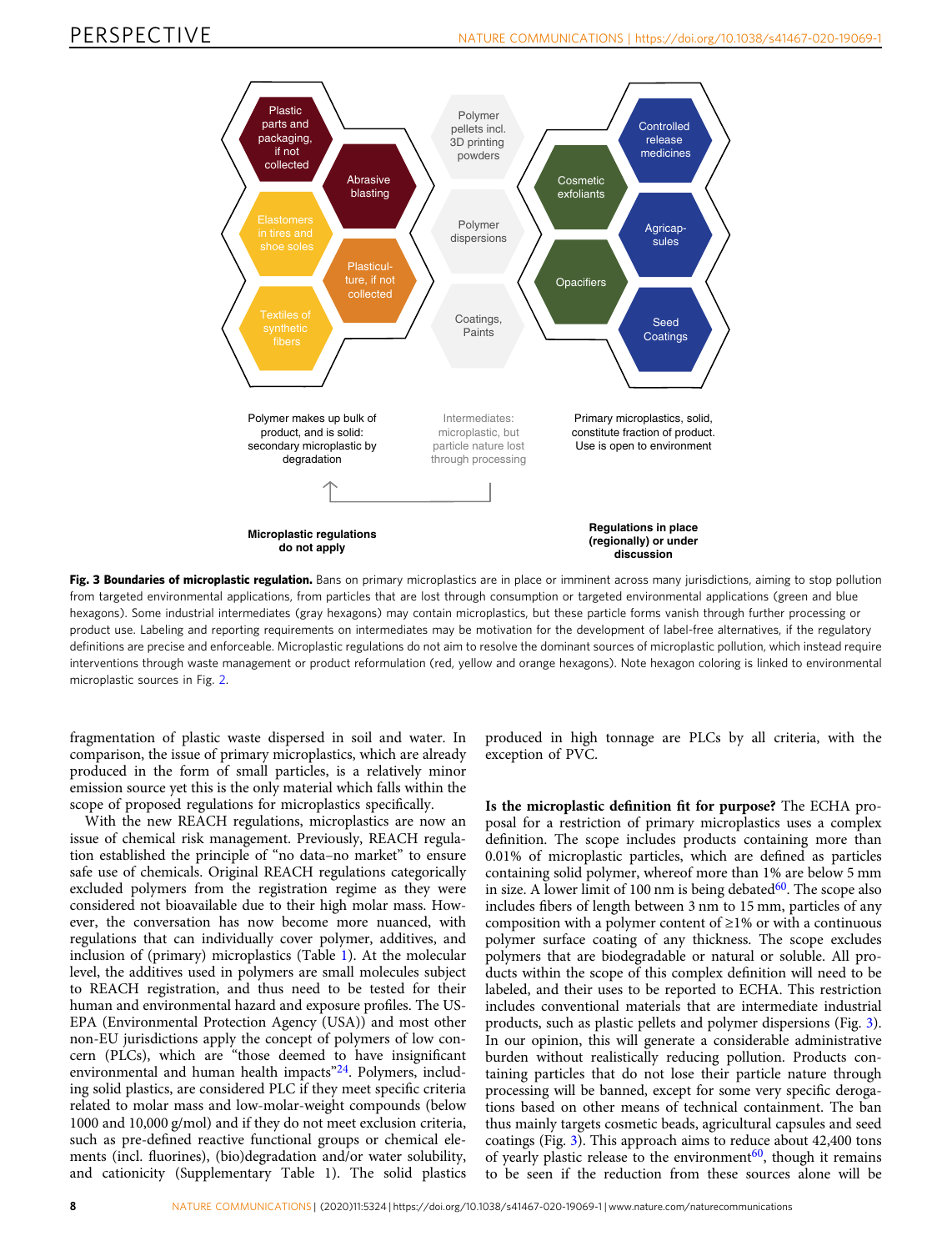

Fig. 3 Boundaries of microplastic regulation. Bans on primary microplastics are in place or imminent across many jurisdictions, aiming to stop pollution from targeted environmental applications, from particles that are lost through consumption or targeted environmental applications (green and blue hexagons). Some industrial intermediates (gray hexagons) may contain microplastics, but these particle forms vanish through further processing or product use. Labeling and reporting requirements on intermediates may be motivation for the development of label-free alternatives, if the regulatory definitions are precise and enforceable. Microplastic regulations do not aim to resolve the dominant sources of microplastic pollution, which instead require interventions through waste management or product reformulation (red, yellow and orange hexagons). Note hexagon coloring is linked to environmental microplastic sources in Fig. [2](#page-3-0).

fragmentation of plastic waste dispersed in soil and water. In comparison, the issue of primary microplastics, which are already produced in the form of small particles, is a relatively minor emission source yet this is the only material which falls within the scope of proposed regulations for microplastics specifically.

With the new REACH regulations, microplastics are now an issue of chemical risk management. Previously, REACH regulation established the principle of "no data–no market" to ensure safe use of chemicals. Original REACH regulations categorically excluded polymers from the registration regime as they were considered not bioavailable due to their high molar mass. However, the conversation has now become more nuanced, with regulations that can individually cover polymer, additives, and inclusion of (primary) microplastics (Table [1\)](#page-5-0). At the molecular level, the additives used in polymers are small molecules subject to REACH registration, and thus need to be tested for their human and environmental hazard and exposure profiles. The US-EPA (Environmental Protection Agency (USA)) and most other non-EU jurisdictions apply the concept of polymers of low concern (PLCs), which are "those deemed to have insignificant environmental and human health impacts"<sup>[24](#page-10-0)</sup>. Polymers, including solid plastics, are considered PLC if they meet specific criteria related to molar mass and low-molar-weight compounds (below 1000 and 10,000 g/mol) and if they do not meet exclusion criteria, such as pre-defined reactive functional groups or chemical elements (incl. fluorines), (bio)degradation and/or water solubility, and cationicity (Supplementary Table 1). The solid plastics

produced in high tonnage are PLCs by all criteria, with the exception of PVC.

Is the microplastic definition fit for purpose? The ECHA proposal for a restriction of primary microplastics uses a complex definition. The scope includes products containing more than 0.01% of microplastic particles, which are defined as particles containing solid polymer, whereof more than 1% are below 5 mm in size. A lower limit of 100 nm is being debated $60$ . The scope also includes fibers of length between 3 nm to 15 mm, particles of any composition with a polymer content of  $\geq$ 1% or with a continuous polymer surface coating of any thickness. The scope excludes polymers that are biodegradable or natural or soluble. All products within the scope of this complex definition will need to be labeled, and their uses to be reported to ECHA. This restriction includes conventional materials that are intermediate industrial products, such as plastic pellets and polymer dispersions (Fig. 3). In our opinion, this will generate a considerable administrative burden without realistically reducing pollution. Products containing particles that do not lose their particle nature through processing will be banned, except for some very specific derogations based on other means of technical containment. The ban thus mainly targets cosmetic beads, agricultural capsules and seed coatings (Fig. 3). This approach aims to reduce about 42,400 tons of yearly plastic release to the environment<sup>60</sup>, though it remains to be seen if the reduction from these sources alone will be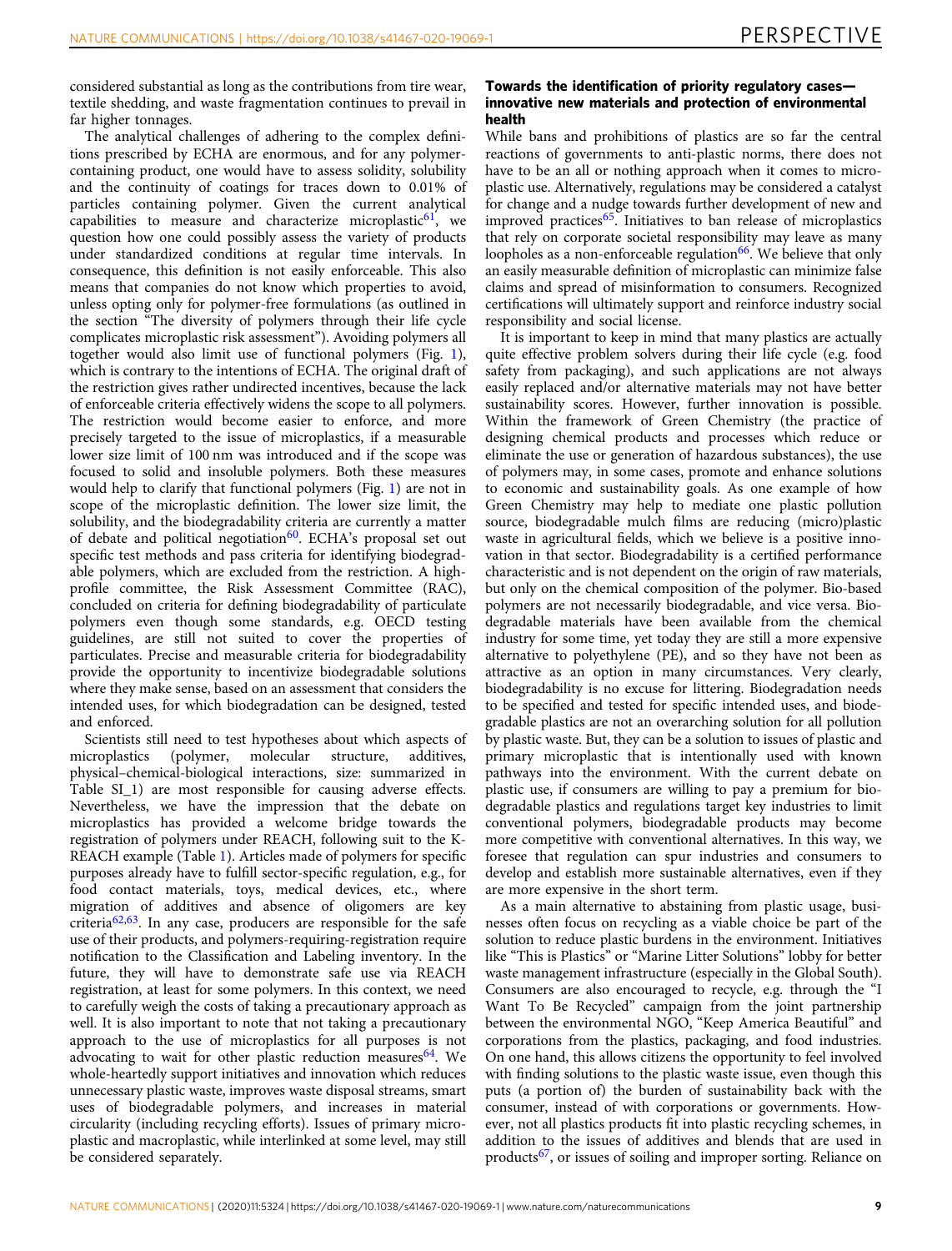considered substantial as long as the contributions from tire wear, textile shedding, and waste fragmentation continues to prevail in far higher tonnages.

The analytical challenges of adhering to the complex definitions prescribed by ECHA are enormous, and for any polymercontaining product, one would have to assess solidity, solubility and the continuity of coatings for traces down to 0.01% of particles containing polymer. Given the current analytical capabilities to measure and characterize microplastic $61$ , we question how one could possibly assess the variety of products under standardized conditions at regular time intervals. In consequence, this definition is not easily enforceable. This also means that companies do not know which properties to avoid, unless opting only for polymer-free formulations (as outlined in the section "The diversity of polymers through their life cycle complicates microplastic risk assessment"). Avoiding polymers all together would also limit use of functional polymers (Fig. [1](#page-3-0)), which is contrary to the intentions of ECHA. The original draft of the restriction gives rather undirected incentives, because the lack of enforceable criteria effectively widens the scope to all polymers. The restriction would become easier to enforce, and more precisely targeted to the issue of microplastics, if a measurable lower size limit of 100 nm was introduced and if the scope was focused to solid and insoluble polymers. Both these measures would help to clarify that functional polymers (Fig. [1\)](#page-3-0) are not in scope of the microplastic definition. The lower size limit, the solubility, and the biodegradability criteria are currently a matter of debate and political negotiation<sup>60</sup>. ECHA's proposal set out specific test methods and pass criteria for identifying biodegradable polymers, which are excluded from the restriction. A highprofile committee, the Risk Assessment Committee (RAC), concluded on criteria for defining biodegradability of particulate polymers even though some standards, e.g. OECD testing guidelines, are still not suited to cover the properties of particulates. Precise and measurable criteria for biodegradability provide the opportunity to incentivize biodegradable solutions where they make sense, based on an assessment that considers the intended uses, for which biodegradation can be designed, tested and enforced.

Scientists still need to test hypotheses about which aspects of microplastics (polymer, molecular structure, additives, physical–chemical-biological interactions, size: summarized in Table SI\_1) are most responsible for causing adverse effects. Nevertheless, we have the impression that the debate on microplastics has provided a welcome bridge towards the registration of polymers under REACH, following suit to the K-REACH example (Table [1\)](#page-5-0). Articles made of polymers for specific purposes already have to fulfill sector-specific regulation, e.g., for food contact materials, toys, medical devices, etc., where migration of additives and absence of oligomers are key criteria $62,63$ . In any case, producers are responsible for the safe use of their products, and polymers-requiring-registration require notification to the Classification and Labeling inventory. In the future, they will have to demonstrate safe use via REACH registration, at least for some polymers. In this context, we need to carefully weigh the costs of taking a precautionary approach as well. It is also important to note that not taking a precautionary approach to the use of microplastics for all purposes is not advocating to wait for other plastic reduction measures<sup>[64](#page-10-0)</sup>. We whole-heartedly support initiatives and innovation which reduces unnecessary plastic waste, improves waste disposal streams, smart uses of biodegradable polymers, and increases in material circularity (including recycling efforts). Issues of primary microplastic and macroplastic, while interlinked at some level, may still be considered separately.

# Towards the identification of priority regulatory cases innovative new materials and protection of environmental health

While bans and prohibitions of plastics are so far the central reactions of governments to anti-plastic norms, there does not have to be an all or nothing approach when it comes to microplastic use. Alternatively, regulations may be considered a catalyst for change and a nudge towards further development of new and improved practices<sup>[65](#page-10-0)</sup>. Initiatives to ban release of microplastics that rely on corporate societal responsibility may leave as many loopholes as a non-enforceable regulation<sup>66</sup>. We believe that only an easily measurable definition of microplastic can minimize false claims and spread of misinformation to consumers. Recognized certifications will ultimately support and reinforce industry social responsibility and social license.

It is important to keep in mind that many plastics are actually quite effective problem solvers during their life cycle (e.g. food safety from packaging), and such applications are not always easily replaced and/or alternative materials may not have better sustainability scores. However, further innovation is possible. Within the framework of Green Chemistry (the practice of designing chemical products and processes which reduce or eliminate the use or generation of hazardous substances), the use of polymers may, in some cases, promote and enhance solutions to economic and sustainability goals. As one example of how Green Chemistry may help to mediate one plastic pollution source, biodegradable mulch films are reducing (micro)plastic waste in agricultural fields, which we believe is a positive innovation in that sector. Biodegradability is a certified performance characteristic and is not dependent on the origin of raw materials, but only on the chemical composition of the polymer. Bio-based polymers are not necessarily biodegradable, and vice versa. Biodegradable materials have been available from the chemical industry for some time, yet today they are still a more expensive alternative to polyethylene (PE), and so they have not been as attractive as an option in many circumstances. Very clearly, biodegradability is no excuse for littering. Biodegradation needs to be specified and tested for specific intended uses, and biodegradable plastics are not an overarching solution for all pollution by plastic waste. But, they can be a solution to issues of plastic and primary microplastic that is intentionally used with known pathways into the environment. With the current debate on plastic use, if consumers are willing to pay a premium for biodegradable plastics and regulations target key industries to limit conventional polymers, biodegradable products may become more competitive with conventional alternatives. In this way, we foresee that regulation can spur industries and consumers to develop and establish more sustainable alternatives, even if they are more expensive in the short term.

As a main alternative to abstaining from plastic usage, businesses often focus on recycling as a viable choice be part of the solution to reduce plastic burdens in the environment. Initiatives like "This is Plastics" or "Marine Litter Solutions" lobby for better waste management infrastructure (especially in the Global South). Consumers are also encouraged to recycle, e.g. through the "I Want To Be Recycled" campaign from the joint partnership between the environmental NGO, "Keep America Beautiful" and corporations from the plastics, packaging, and food industries. On one hand, this allows citizens the opportunity to feel involved with finding solutions to the plastic waste issue, even though this puts (a portion of) the burden of sustainability back with the consumer, instead of with corporations or governments. However, not all plastics products fit into plastic recycling schemes, in addition to the issues of additives and blends that are used in products[67](#page-10-0), or issues of soiling and improper sorting. Reliance on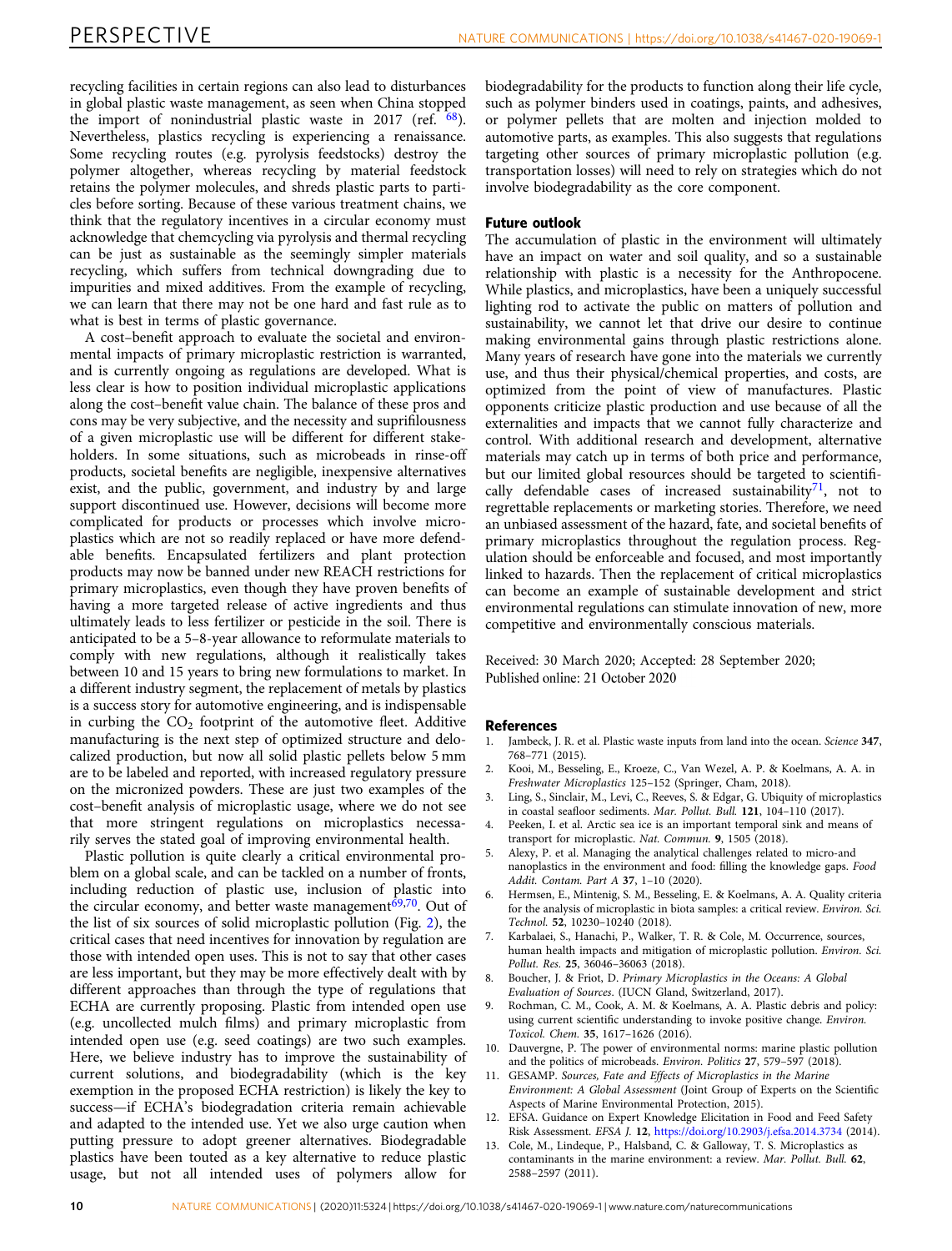<span id="page-9-0"></span>recycling facilities in certain regions can also lead to disturbances in global plastic waste management, as seen when China stopped the import of nonindustrial plastic waste in 2017 (ref. [68](#page-10-0)). Nevertheless, plastics recycling is experiencing a renaissance. Some recycling routes (e.g. pyrolysis feedstocks) destroy the polymer altogether, whereas recycling by material feedstock retains the polymer molecules, and shreds plastic parts to particles before sorting. Because of these various treatment chains, we think that the regulatory incentives in a circular economy must acknowledge that chemcycling via pyrolysis and thermal recycling can be just as sustainable as the seemingly simpler materials recycling, which suffers from technical downgrading due to impurities and mixed additives. From the example of recycling, we can learn that there may not be one hard and fast rule as to what is best in terms of plastic governance.

A cost–benefit approach to evaluate the societal and environmental impacts of primary microplastic restriction is warranted, and is currently ongoing as regulations are developed. What is less clear is how to position individual microplastic applications along the cost–benefit value chain. The balance of these pros and cons may be very subjective, and the necessity and suprifilousness of a given microplastic use will be different for different stakeholders. In some situations, such as microbeads in rinse-off products, societal benefits are negligible, inexpensive alternatives exist, and the public, government, and industry by and large support discontinued use. However, decisions will become more complicated for products or processes which involve microplastics which are not so readily replaced or have more defendable benefits. Encapsulated fertilizers and plant protection products may now be banned under new REACH restrictions for primary microplastics, even though they have proven benefits of having a more targeted release of active ingredients and thus ultimately leads to less fertilizer or pesticide in the soil. There is anticipated to be a 5–8-year allowance to reformulate materials to comply with new regulations, although it realistically takes between 10 and 15 years to bring new formulations to market. In a different industry segment, the replacement of metals by plastics is a success story for automotive engineering, and is indispensable in curbing the  $CO<sub>2</sub>$  footprint of the automotive fleet. Additive manufacturing is the next step of optimized structure and delocalized production, but now all solid plastic pellets below 5 mm are to be labeled and reported, with increased regulatory pressure on the micronized powders. These are just two examples of the cost–benefit analysis of microplastic usage, where we do not see that more stringent regulations on microplastics necessarily serves the stated goal of improving environmental health.

Plastic pollution is quite clearly a critical environmental problem on a global scale, and can be tackled on a number of fronts, including reduction of plastic use, inclusion of plastic into the circular economy, and better waste management $69,70$  $69,70$  $69,70$ . Out of the list of six sources of solid microplastic pollution (Fig. [2](#page-3-0)), the critical cases that need incentives for innovation by regulation are those with intended open uses. This is not to say that other cases are less important, but they may be more effectively dealt with by different approaches than through the type of regulations that ECHA are currently proposing. Plastic from intended open use (e.g. uncollected mulch films) and primary microplastic from intended open use (e.g. seed coatings) are two such examples. Here, we believe industry has to improve the sustainability of current solutions, and biodegradability (which is the key exemption in the proposed ECHA restriction) is likely the key to success—if ECHA's biodegradation criteria remain achievable and adapted to the intended use. Yet we also urge caution when putting pressure to adopt greener alternatives. Biodegradable plastics have been touted as a key alternative to reduce plastic usage, but not all intended uses of polymers allow for

biodegradability for the products to function along their life cycle, such as polymer binders used in coatings, paints, and adhesives, or polymer pellets that are molten and injection molded to automotive parts, as examples. This also suggests that regulations targeting other sources of primary microplastic pollution (e.g. transportation losses) will need to rely on strategies which do not involve biodegradability as the core component.

#### Future outlook

The accumulation of plastic in the environment will ultimately have an impact on water and soil quality, and so a sustainable relationship with plastic is a necessity for the Anthropocene. While plastics, and microplastics, have been a uniquely successful lighting rod to activate the public on matters of pollution and sustainability, we cannot let that drive our desire to continue making environmental gains through plastic restrictions alone. Many years of research have gone into the materials we currently use, and thus their physical/chemical properties, and costs, are optimized from the point of view of manufactures. Plastic opponents criticize plastic production and use because of all the externalities and impacts that we cannot fully characterize and control. With additional research and development, alternative materials may catch up in terms of both price and performance, but our limited global resources should be targeted to scientifi-cally defendable cases of increased sustainability<sup>[71](#page-10-0)</sup>, not to regrettable replacements or marketing stories. Therefore, we need an unbiased assessment of the hazard, fate, and societal benefits of primary microplastics throughout the regulation process. Regulation should be enforceable and focused, and most importantly linked to hazards. Then the replacement of critical microplastics can become an example of sustainable development and strict environmental regulations can stimulate innovation of new, more competitive and environmentally conscious materials.

Received: 30 March 2020; Accepted: 28 September 2020; Published online: 21 October 2020

#### **References**

- Jambeck, J. R. et al. Plastic waste inputs from land into the ocean. Science 347, 768–771 (2015).
- 2. Kooi, M., Besseling, E., Kroeze, C., Van Wezel, A. P. & Koelmans, A. A. in Freshwater Microplastics 125–152 (Springer, Cham, 2018).
- Ling, S., Sinclair, M., Levi, C., Reeves, S. & Edgar, G. Ubiquity of microplastics in coastal seafloor sediments. Mar. Pollut. Bull. 121, 104–110 (2017).
- Peeken, I. et al. Arctic sea ice is an important temporal sink and means of transport for microplastic. Nat. Commun. 9, 1505 (2018).
- 5. Alexy, P. et al. Managing the analytical challenges related to micro-and nanoplastics in the environment and food: filling the knowledge gaps. Food Addit. Contam. Part A 37, 1–10 (2020).
- 6. Hermsen, E., Mintenig, S. M., Besseling, E. & Koelmans, A. A. Quality criteria for the analysis of microplastic in biota samples: a critical review. Environ. Sci. Technol. 52, 10230–10240 (2018).
- 7. Karbalaei, S., Hanachi, P., Walker, T. R. & Cole, M. Occurrence, sources, human health impacts and mitigation of microplastic pollution. Environ. Sci. Pollut. Res. 25, 36046–36063 (2018).
- 8. Boucher, J. & Friot, D. Primary Microplastics in the Oceans: A Global Evaluation of Sources. (IUCN Gland, Switzerland, 2017).
- Rochman, C. M., Cook, A. M. & Koelmans, A. A. Plastic debris and policy: using current scientific understanding to invoke positive change. Environ. Toxicol. Chem. 35, 1617–1626 (2016).
- 10. Dauvergne, P. The power of environmental norms: marine plastic pollution and the politics of microbeads. Environ. Politics 27, 579–597 (2018).
- 11. GESAMP. Sources, Fate and Effects of Microplastics in the Marine Environment: A Global Assessment (Joint Group of Experts on the Scientific Aspects of Marine Environmental Protection, 2015).
- 12. EFSA. Guidance on Expert Knowledge Elicitation in Food and Feed Safety Risk Assessment. EFSA J. 12, <https://doi.org/10.2903/j.efsa.2014.3734> (2014).
- 13. Cole, M., Lindeque, P., Halsband, C. & Galloway, T. S. Microplastics as contaminants in the marine environment: a review. Mar. Pollut. Bull. 62, 2588–2597 (2011).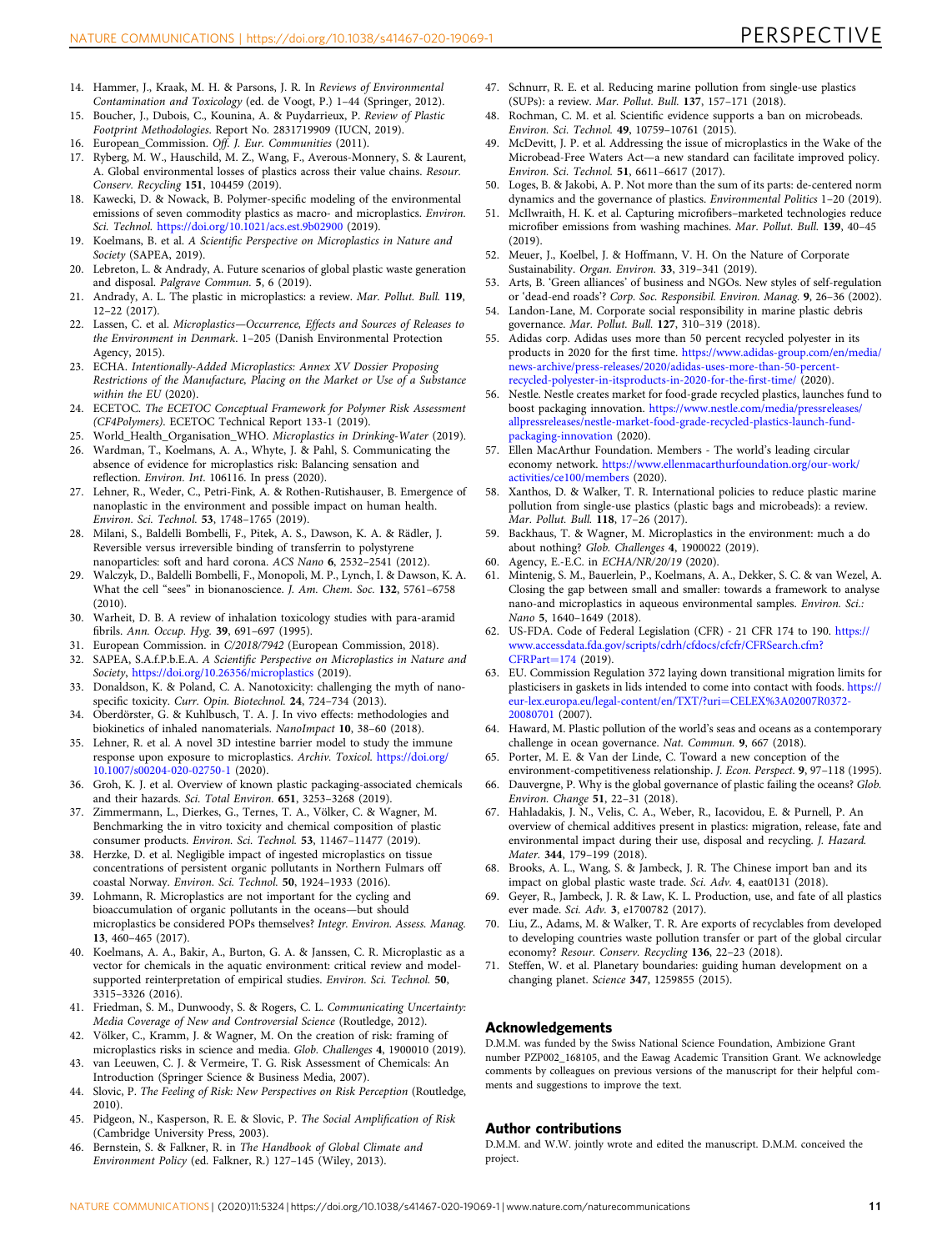- <span id="page-10-0"></span>14. Hammer, J., Kraak, M. H. & Parsons, J. R. In Reviews of Environmental Contamination and Toxicology (ed. de Voogt, P.) 1–44 (Springer, 2012).
- 15. Boucher, J., Dubois, C., Kounina, A. & Puydarrieux, P. Review of Plastic Footprint Methodologies. Report No. 2831719909 (IUCN, 2019).
- 16. European\_Commission. Off. J. Eur. Communities (2011).<br>17. Ryberg, M. W., Hauschild, M. Z., Wang, F., Averous-Mo
- Ryberg, M. W., Hauschild, M. Z., Wang, F., Averous-Monnery, S. & Laurent, A. Global environmental losses of plastics across their value chains. Resour. Conserv. Recycling 151, 104459 (2019).
- 18. Kawecki, D. & Nowack, B. Polymer-specific modeling of the environmental emissions of seven commodity plastics as macro- and microplastics. Environ. Sci. Technol. <https://doi.org/10.1021/acs.est.9b02900> (2019).
- 19. Koelmans, B. et al. A Scientific Perspective on Microplastics in Nature and Society (SAPEA, 2019).
- 20. Lebreton, L. & Andrady, A. Future scenarios of global plastic waste generation and disposal. Palgrave Commun. 5, 6 (2019).
- 21. Andrady, A. L. The plastic in microplastics: a review. Mar. Pollut. Bull. 119, 12–22 (2017).
- 22. Lassen, C. et al. Microplastics—Occurrence, Effects and Sources of Releases to the Environment in Denmark. 1–205 (Danish Environmental Protection Agency, 2015).
- 23. ECHA. Intentionally-Added Microplastics: Annex XV Dossier Proposing Restrictions of the Manufacture, Placing on the Market or Use of a Substance within the EU (2020).
- 24. ECETOC. The ECETOC Conceptual Framework for Polymer Risk Assessment (CF4Polymers). ECETOC Technical Report 133-1 (2019).
- 25. World\_Health\_Organisation\_WHO. Microplastics in Drinking-Water (2019). 26. Wardman, T., Koelmans, A. A., Whyte, J. & Pahl, S. Communicating the absence of evidence for microplastics risk: Balancing sensation and
- reflection. Environ. Int. 106116. In press (2020). 27. Lehner, R., Weder, C., Petri-Fink, A. & Rothen-Rutishauser, B. Emergence of nanoplastic in the environment and possible impact on human health. Environ. Sci. Technol. 53, 1748–1765 (2019).
- 28. Milani, S., Baldelli Bombelli, F., Pitek, A. S., Dawson, K. A. & Rädler, J. Reversible versus irreversible binding of transferrin to polystyrene nanoparticles: soft and hard corona. ACS Nano 6, 2532–2541 (2012).
- 29. Walczyk, D., Baldelli Bombelli, F., Monopoli, M. P., Lynch, I. & Dawson, K. A. What the cell "sees" in bionanoscience. J. Am. Chem. Soc. 132, 5761–6758 (2010).
- 30. Warheit, D. B. A review of inhalation toxicology studies with para-aramid fibrils. Ann. Occup. Hyg. 39, 691–697 (1995).
- 31. European Commission. in C/2018/7942 (European Commission, 2018).
- 32. SAPEA, S.A.f.P.b.E.A. A Scientific Perspective on Microplastics in Nature and Society, <https://doi.org/10.26356/microplastics> (2019).
- 33. Donaldson, K. & Poland, C. A. Nanotoxicity: challenging the myth of nanospecific toxicity. Curr. Opin. Biotechnol. 24, 724–734 (2013).
- 34. Oberdörster, G. & Kuhlbusch, T. A. J. In vivo effects: methodologies and biokinetics of inhaled nanomaterials. NanoImpact 10, 38–60 (2018).
- 35. Lehner, R. et al. A novel 3D intestine barrier model to study the immune response upon exposure to microplastics. Archiv. Toxicol. [https://doi.org/](https://doi.org/10.1007/s00204-020-02750-1) [10.1007/s00204-020-02750-1](https://doi.org/10.1007/s00204-020-02750-1) (2020).
- 36. Groh, K. J. et al. Overview of known plastic packaging-associated chemicals and their hazards. Sci. Total Environ. 651, 3253-3268 (2019).
- 37. Zimmermann, L., Dierkes, G., Ternes, T. A., Völker, C. & Wagner, M. Benchmarking the in vitro toxicity and chemical composition of plastic consumer products. Environ. Sci. Technol. 53, 11467–11477 (2019).
- 38. Herzke, D. et al. Negligible impact of ingested microplastics on tissue concentrations of persistent organic pollutants in Northern Fulmars off coastal Norway. Environ. Sci. Technol. 50, 1924–1933 (2016).
- Lohmann, R. Microplastics are not important for the cycling and bioaccumulation of organic pollutants in the oceans—but should microplastics be considered POPs themselves? Integr. Environ. Assess. Manag. 13, 460–465 (2017).
- 40. Koelmans, A. A., Bakir, A., Burton, G. A. & Janssen, C. R. Microplastic as a vector for chemicals in the aquatic environment: critical review and modelsupported reinterpretation of empirical studies. Environ. Sci. Technol. 50, 3315–3326 (2016).
- 41. Friedman, S. M., Dunwoody, S. & Rogers, C. L. Communicating Uncertainty: Media Coverage of New and Controversial Science (Routledge, 2012).
- 42. Völker, C., Kramm, J. & Wagner, M. On the creation of risk: framing of microplastics risks in science and media. Glob. Challenges 4, 1900010 (2019).
- 43. van Leeuwen, C. J. & Vermeire, T. G. Risk Assessment of Chemicals: An Introduction (Springer Science & Business Media, 2007).
- 44. Slovic, P. The Feeling of Risk: New Perspectives on Risk Perception (Routledge, 2010).
- 45. Pidgeon, N., Kasperson, R. E. & Slovic, P. The Social Amplification of Risk (Cambridge University Press, 2003).
- 46. Bernstein, S. & Falkner, R. in The Handbook of Global Climate and Environment Policy (ed. Falkner, R.) 127–145 (Wiley, 2013).
- 47. Schnurr, R. E. et al. Reducing marine pollution from single-use plastics (SUPs): a review. Mar. Pollut. Bull. 137, 157–171 (2018).
- 48. Rochman, C. M. et al. Scientific evidence supports a ban on microbeads. Environ. Sci. Technol. 49, 10759–10761 (2015).
- 49. McDevitt, J. P. et al. Addressing the issue of microplastics in the Wake of the Microbead-Free Waters Act—a new standard can facilitate improved policy. Environ. Sci. Technol. 51, 6611–6617 (2017).
- 50. Loges, B. & Jakobi, A. P. Not more than the sum of its parts: de-centered norm dynamics and the governance of plastics. Environmental Politics 1–20 (2019).
- 51. McIlwraith, H. K. et al. Capturing microfibers–marketed technologies reduce microfiber emissions from washing machines. Mar. Pollut. Bull. 139, 40–45  $(2019)$
- 52. Meuer, J., Koelbel, J. & Hoffmann, V. H. On the Nature of Corporate Sustainability. Organ. Environ. 33, 319–341 (2019).
- 53. Arts, B. 'Green alliances' of business and NGOs. New styles of self‐regulation or 'dead‐end roads'? Corp. Soc. Responsibil. Environ. Manag. 9, 26–36 (2002).
- 54. Landon-Lane, M. Corporate social responsibility in marine plastic debris governance. Mar. Pollut. Bull. 127, 310–319 (2018).
- 55. Adidas corp. Adidas uses more than 50 percent recycled polyester in its products in 2020 for the first time. [https://www.adidas-group.com/en/media/](https://www.adidas-group.com/en/media/news-archive/press-releases/2020/adidas-uses-more-than-50-percent-recycled-polyester-in-itsproducts-in-2020-for-the-first-time/) [news-archive/press-releases/2020/adidas-uses-more-than-50-percent](https://www.adidas-group.com/en/media/news-archive/press-releases/2020/adidas-uses-more-than-50-percent-recycled-polyester-in-itsproducts-in-2020-for-the-first-time/)[recycled-polyester-in-itsproducts-in-2020-for-the-](https://www.adidas-group.com/en/media/news-archive/press-releases/2020/adidas-uses-more-than-50-percent-recycled-polyester-in-itsproducts-in-2020-for-the-first-time/)first-time/ (2020).
- 56. Nestle. Nestle creates market for food-grade recycled plastics, launches fund to boost packaging innovation. [https://www.nestle.com/media/pressreleases/](https://www.nestle.com/media/pressreleases/allpressreleases/nestle-market-food-grade-recycled-plastics-launch-fund-packaging-innovation) [allpressreleases/nestle-market-food-grade-recycled-plastics-launch-fund](https://www.nestle.com/media/pressreleases/allpressreleases/nestle-market-food-grade-recycled-plastics-launch-fund-packaging-innovation)[packaging-innovation](https://www.nestle.com/media/pressreleases/allpressreleases/nestle-market-food-grade-recycled-plastics-launch-fund-packaging-innovation) (2020).
- 57. Ellen MacArthur Foundation. Members The world's leading circular economy network. [https://www.ellenmacarthurfoundation.org/our-work/](https://www.ellenmacarthurfoundation.org/our-work/activities/ce100/members) [activities/ce100/members](https://www.ellenmacarthurfoundation.org/our-work/activities/ce100/members) (2020).
- 58. Xanthos, D. & Walker, T. R. International policies to reduce plastic marine pollution from single-use plastics (plastic bags and microbeads): a review. Mar. Pollut. Bull. 118, 17–26 (2017).
- 59. Backhaus, T. & Wagner, M. Microplastics in the environment: much a do about nothing? Glob. Challenges 4, 1900022 (2019).
- 60. Agency, E.-E.C. in ECHA/NR/20/19 (2020).
- 61. Mintenig, S. M., Bauerlein, P., Koelmans, A. A., Dekker, S. C. & van Wezel, A. Closing the gap between small and smaller: towards a framework to analyse nano-and microplastics in aqueous environmental samples. Environ. Sci.: Nano 5, 1640–1649 (2018).
- 62. US-FDA. Code of Federal Legislation (CFR) 21 CFR 174 to 190. [https://](https://www.accessdata.fda.gov/scripts/cdrh/cfdocs/cfcfr/CFRSearch.cfm?CFRPart=174) [www.accessdata.fda.gov/scripts/cdrh/cfdocs/cfcfr/CFRSearch.cfm?](https://www.accessdata.fda.gov/scripts/cdrh/cfdocs/cfcfr/CFRSearch.cfm?CFRPart=174) [CFRPart](https://www.accessdata.fda.gov/scripts/cdrh/cfdocs/cfcfr/CFRSearch.cfm?CFRPart=174)=174 (2019).
- 63. EU. Commission Regulation 372 laying down transitional migration limits for plasticisers in gaskets in lids intended to come into contact with foods. [https://](https://eur-lex.europa.eu/legal-content/en/TXT/?uri=CELEX%3A02007R0372-20080701) [eur-lex.europa.eu/legal-content/en/TXT/?uri](https://eur-lex.europa.eu/legal-content/en/TXT/?uri=CELEX%3A02007R0372-20080701)=CELEX%3A02007R0372- [20080701](https://eur-lex.europa.eu/legal-content/en/TXT/?uri=CELEX%3A02007R0372-20080701) (2007).
- 64. Haward, M. Plastic pollution of the world's seas and oceans as a contemporary challenge in ocean governance. Nat. Commun. 9, 667 (2018).
- 65. Porter, M. E. & Van der Linde, C. Toward a new conception of the environment-competitiveness relationship. J. Econ. Perspect. 9, 97–118 (1995).
- 66. Dauvergne, P. Why is the global governance of plastic failing the oceans? Glob. Environ. Change 51, 22–31 (2018).
- 67. Hahladakis, J. N., Velis, C. A., Weber, R., Iacovidou, E. & Purnell, P. An overview of chemical additives present in plastics: migration, release, fate and environmental impact during their use, disposal and recycling. J. Hazard. Mater. 344, 179–199 (2018).
- 68. Brooks, A. L., Wang, S. & Jambeck, J. R. The Chinese import ban and its impact on global plastic waste trade. Sci. Adv. 4, eaat0131 (2018).
- 69. Geyer, R., Jambeck, J. R. & Law, K. L. Production, use, and fate of all plastics ever made. Sci. Adv. 3, e1700782 (2017).
- 70. Liu, Z., Adams, M. & Walker, T. R. Are exports of recyclables from developed to developing countries waste pollution transfer or part of the global circular economy? Resour. Conserv. Recycling 136, 22–23 (2018).
- 71. Steffen, W. et al. Planetary boundaries: guiding human development on a changing planet. Science 347, 1259855 (2015).

#### Acknowledgements

D.M.M. was funded by the Swiss National Science Foundation, Ambizione Grant number PZP002\_168105, and the Eawag Academic Transition Grant. We acknowledge comments by colleagues on previous versions of the manuscript for their helpful comments and suggestions to improve the text.

#### Author contributions

D.M.M. and W.W. jointly wrote and edited the manuscript. D.M.M. conceived the project.